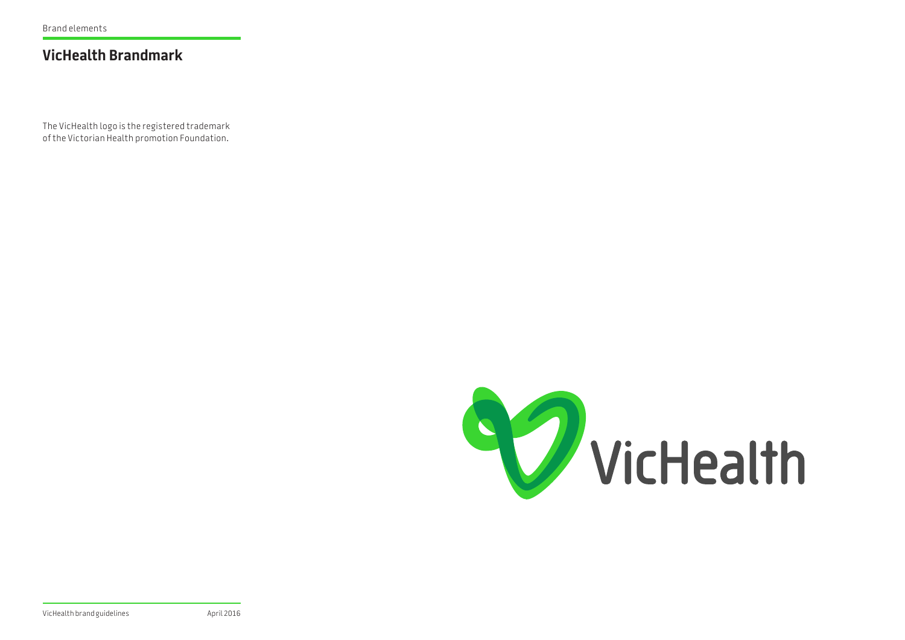## **VicHealth Brandmark**

The VicHealth logo is the registered trademark of the Victorian Health promotion Foundation.

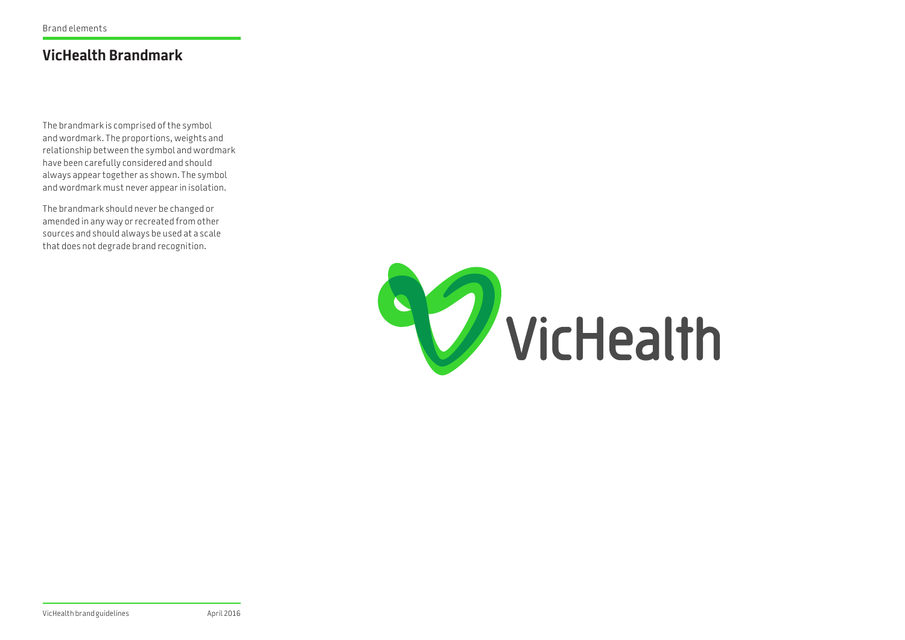## **VicHealth Brandmark**

The brandmark is comprised of the symbol and wordmark. The proportions, weights and relationship between the symbol and wordmark have been carefully considered and should always appear together as shown. The symbol and wordmark must never appear in isolation.

The brandmark should never be changed or amended in any way or recreated from other sources and should always be used at a scale that does not degrade brand recognition.

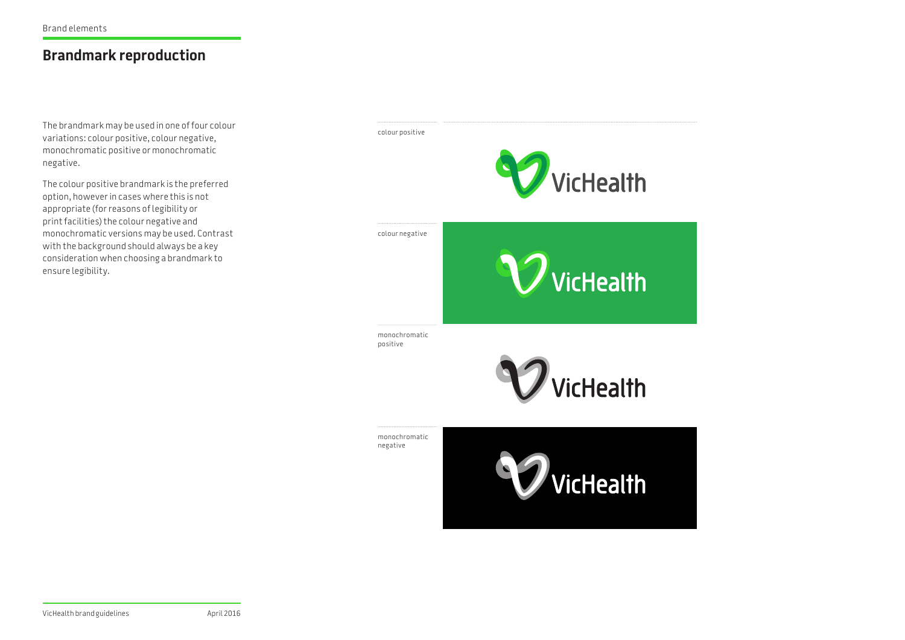# **Brandmark reproduction**

The brandmark may be used in one of four colour variations: colour positive, colour negative, monochromatic positive or monochromatic negative.

The colour positive brandmark is the preferred option, however in cases where this is not appropriate (for reasons of legibility or print facilities) the colour negative and monochromatic versions may be used. Contrast with the background should always be a key consideration when choosing a brandmark to ensure legibility.

colour positive

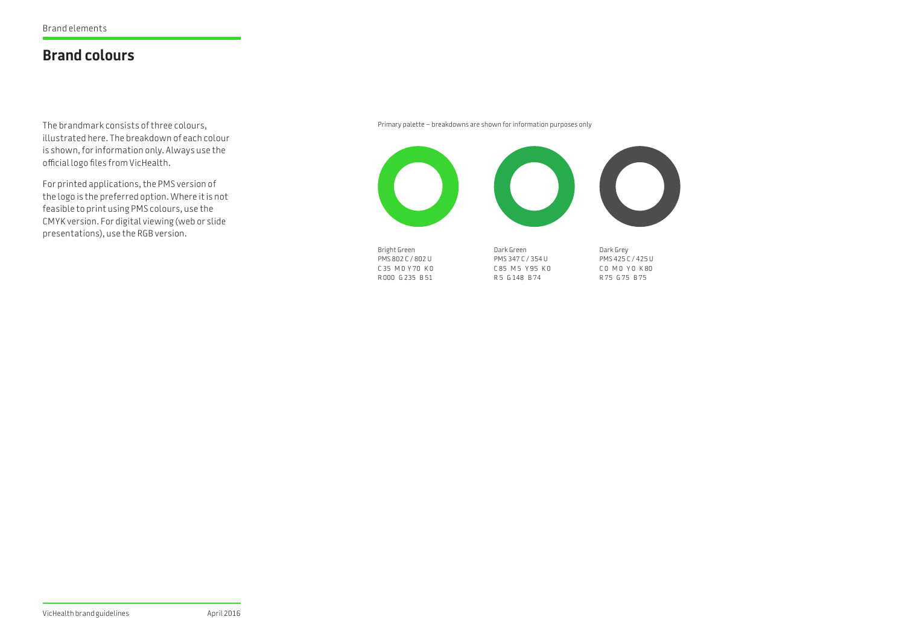### **Brand colours**

The brandmark consists of three colours, illustrated here. The breakdown of each colour is shown, for information only. Always use the official logo files from VicHealth.

For printed applications, the PMS version of the logo is the preferred option. Where it is not feasible to print using PMS colours, use the CMYK version. For digital viewing (web or slide presentations), use the RGB version.

Primary palette – breakdowns are shown for information purposes only